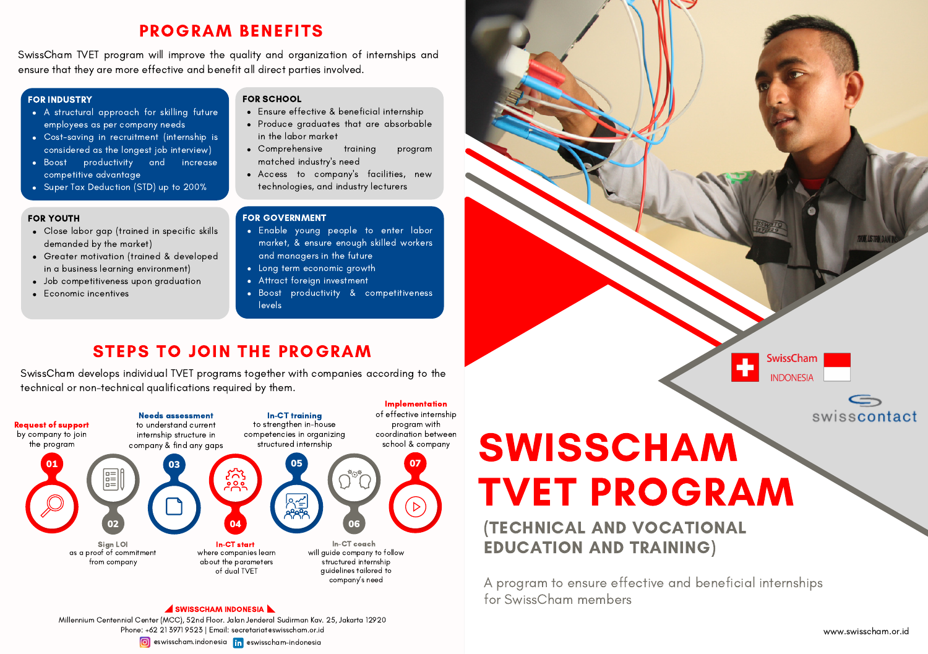## PROGRAM BENEFITS

SwissCham TVET program will improve the quality and organization of internships and ensure that they are more effective and benefit all direct parties involved.

#### FOR INDUSTRY

- A structural approach for skilling future employees as per company needs
- Cost-saving in recruitment (internship is considered as the longest job interview)
- Boost productivity and increase competitive advantage
- Super Tax Deduction (STD) up to 200%

#### FOR YOUTH

- Close labor gap (trained in specific skills demanded by the market)
- Greater motivation (trained & developed in a business learning environment)
- Job competitiveness upon graduation
- Economic incentives

### FOR SCHOOL

- Ensure effective & beneficial internship
- Produce graduates that are absorbable in the labor market
- Comprehensive training program matched industry's need
- Access to company's facilities, new technologies, and industry lecturers

#### FOR GOVERNMENT

- Enable young people to enter labor market, & ensure enough skilled workers and managers in the future
- Long term economic growth
- Attract foreign investment
- Boost productivity & competitiveness levels

## STEPS TO JOIN THE PROGRAM

SwissCham develops individual TVET programs together with companies according to the technical or non-technical qualifications required by them.







A program to ensure effective and beneficial internships for SwissCham members

EDUCATION AND TRAINING)